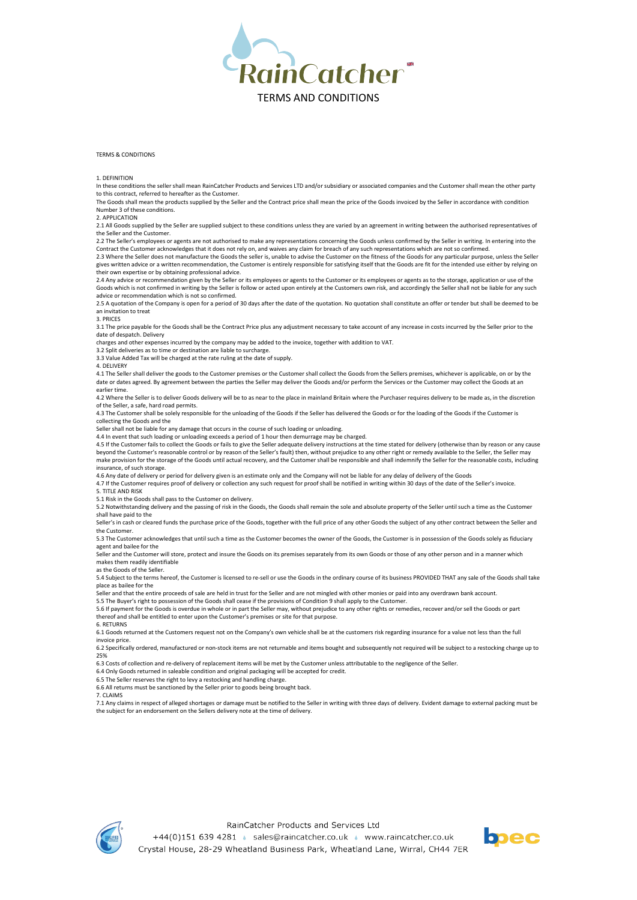

## TERMS & CONDITIONS

1. DEFINITION

In these conditions the seller shall mean RainCatcher Products and Services LTD and/or subsidiary or associated companies and the Customer shall mean the other party to this contract, referred to hereafter as the Customer.

The Goods shall mean the products supplied by the Seller and the Contract price shall mean the price of the Goods invoiced by the Seller in accordance with condition Number 3 of these conditions.

## 2. APPLICATION

2.1 All Goods supplied by the Seller are supplied subject to these conditions unless they are varied by an agreement in writing between the authorised representatives of the Seller and the Custome

2.2 The Seller's employees or agents are not authorised to make any representations concerning the Goods unless confirmed by the Seller in writing. In entering into the Contract the Customer acknowledges that it does not rely on, and waives any claim for breach of any such representations which are not so confirmed.

2.3 Where the Seller does not manufacture the Goods the seller is, unable to advise the Customer on the fitness of the Goods for any particular purpose, unless the Seller gives written advice or a written recommendation, the Customer is entirely responsible for satisfying itself that the Goods are fit for the intended use either by relying on their own expertise or by obtaining professional advice.

2.4 Any advice or recommendation given by the Seller or its employees or agents to the Customer or its employees or agents as to the storage, application or use of the Goods which is not confirmed in writing by the Seller is follow or acted upon entirely at the Customers own risk, and accordingly the Seller shall not be liable for any such advice or recommendation which is not so confirmed.

2.5 A quotation of the Company is open for a period of 30 days after the date of the quotation. No quotation shall constitute an offer or tender but shall be deemed to be an invitation to treat

## 3. PRICES

3.1 The price payable for the Goods shall be the Contract Price plus any adjustment necessary to take account of any increase in costs incurred by the Seller prior to the

date of despatch. Delivery charges and other expenses incurred by the company may be added to the invoice, together with addition to VAT.

3.2 Split deliveries as to time or destination are liable to surcharge.

3.3 Value Added Tax will be charged at the rate ruling at the date of supply.

4. DELIVERY

4.1 The Seller shall deliver the goods to the Customer premises or the Customer shall collect the Goods from the Sellers premises, whichever is applicable, on or by the date or dates agreed. By agreement between the parties the Seller may deliver the Goods and/or perform the Services or the Customer may collect the Goods at an earlier time.

4.2 Where the Seller is to deliver Goods delivery will be to as near to the place in mainland Britain where the Purchaser requires delivery to be made as, in the discretion of the Seller, a safe, hard road permits.

4.3 The Customer shall be solely responsible for the unloading of the Goods if the Seller has delivered the Goods or for the loading of the Goods if the Customer is collecting the Goods and the

Seller shall not be liable for any damage that occurs in the course of such loading or unloading.

4.4 In event that such loading or unloading exceeds a period of 1 hour then demurrage may be charged.<br>4.5 If the Customer fails to collect the Goods or fails to give the Seller adequate delivery instructions at the time st beyond the Customer's reasonable control or by reason of the Seller's fault) then, without prejudice to any other right or remedy available to the Seller, the Seller may make provision for the storage of the Goods until actual recovery, and the Customer shall be responsible and shall indemnify the Seller for the reasonable costs, including insurance, of such storage.

4.6 Any date of delivery or period for delivery given is an estimate only and the Company will not be liable for any delay of delivery of the Goods

4.7 If the Customer requires proof of delivery or collection any such request for proof shall be notified in writing within 30 days of the date of the Seller's invoice.

5. TITLE AND RISK

5.1 Risk in the Goods shall pass to the Customer on delivery.

5.2 Notwithstanding delivery and the passing of risk in the Goods, the Goods shall remain the sole and absolute property of the Seller until such a time as the Customer shall have paid to the

Seller's in cash or cleared funds the purchase price of the Goods, together with the full price of any other Goods the subject of any other contract between the Seller and the Customer. 5.3 The Customer acknowledges that until such a time as the Customer becomes the owner of the Goods, the Customer is in possession of the Goods solely as fiduciary

agent and bailee for the Seller and the Customer will store, protect and insure the Goods on its premises separately from its own Goods or those of any other person and in a manner which

makes them readily identifiable

as the Goods of the Seller.

5.4 Subject to the terms hereof, the Customer is licensed to re-sell or use the Goods in the ordinary course of its business PROVIDED THAT any sale of the Goods shall take place as bailee for the

Seller and that the entire proceeds of sale are held in trust for the Seller and are not mingled with other monies or paid into any overdrawn bank account.

5.5 The Buyer's right to possession of the Goods shall cease if the provisions of Condition 9 shall apply to the Customer.

5.6 If payment for the Goods is overdue in whole or in part the Seller may, without prejudice to any other rights or remedies, recover and/or sell the Goods or part thereof and shall be entitled to enter upon the Customer's premises or site for that purpose.

6. RETURNS

6.1 Goods returned at the Customers request not on the Company's own vehicle shall be at the customers risk regarding insurance for a value not less than the full invoice price.

6.2 Specifically ordered, manufactured or non-stock items are not returnable and items bought and subsequently not required will be subject to a restocking charge up to 25%

6.3 Costs of collection and re-delivery of replacement items will be met by the Customer unless attributable to the negligence of the Seller.

6.4 Only Goods returned in saleable condition and original packaging will be accepted for credit.

6.5 The Seller reserves the right to levy a restocking and handling charge. 6.6 All returns must be sanctioned by the Seller prior to goods being brought back.

7. CLAIMS

7.1 Any claims in respect of alleged shortages or damage must be notified to the Seller in writing with three days of delivery. Evident damage to external packing must be the subject for an endorsement on the Sellers delivery note at the time of delivery.



+44(0)151 639 4281 · sales@raincatcher.co.uk · www.raincatcher.co.uk Crystal House, 28-29 Wheatland Business Park, Wheatland Lane, Wirral, CH44 7ER

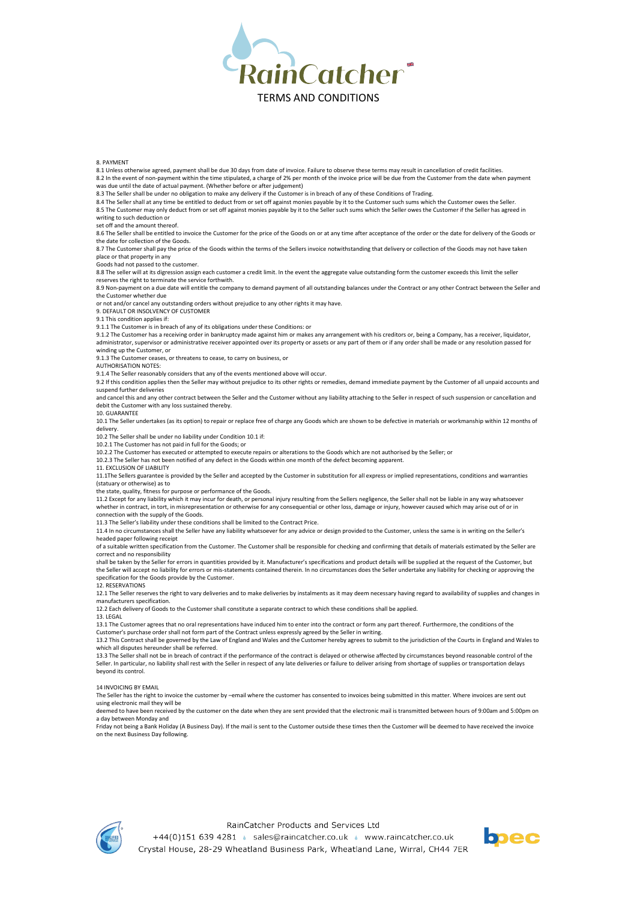

# 8. PAYMENT

8.1 Unless otherwise agreed, payment shall be due 30 days from date of invoice. Failure to observe these terms may result in cancellation of credit facilities. 8.2 In the event of non-payment within the time stipulated, a charge of 2% per month of the invoice price will be due from the Customer from the date when payment was due until the date of actual payment. (Whether before or after judgement)

8.3 The Seller shall be under no obligation to make any delivery if the Customer is in breach of any of these Conditions of Trading.

8.4 The Seller shall at any time be entitled to deduct from or set off against monies payable by it to the Customer such sums which the Customer owes the Seller.

8.5 The Customer may only deduct from or set off against monies payable by it to the Seller such sums which the Seller owes the Customer if the Seller has agreed in writing to such deduction or

set off and the amount thereof.

8.6 The Seller shall be entitled to invoice the Customer for the price of the Goods on or at any time after acceptance of the order or the date for delivery of the Goods or

the date for collection of the Goods. 8.7 The Customer shall pay the price of the Goods within the terms of the Sellers invoice notwithstanding that delivery or collection of the Goods may not have taken

place or that property in any

Goods had not passed to the customer.

8.8 The seller will at its digression assign each customer a credit limit. In the event the aggregate value outstanding form the customer exceeds this limit the seller reserves the right to terminate the service forthwith.

8.9 Non-payment on a due date will entitle the company to demand payment of all outstanding balances under the Contract or any other Contract between the Seller and the Customer whether due

or not and/or cancel any outstanding orders without prejudice to any other rights it may have.

9. DEFAULT OR INSOLVENCY OF CUSTOMER

9.1 This condition applies if:

9.1.1 The Customer is in breach of any of its obligations under these Conditions: or

9.1.2 The Customer has a receiving order in bankruptcy made against him or makes any arrangement with his creditors or, being a Company, has a receiver, liquidator,<br>administrator, supervisor or administrative receiver appo winding up the Customer, or

9.1.3 The Customer ceases, or threatens to cease, to carry on business, or

AUTHORISATION NOTES:

9.1.4 The Seller reasonably considers that any of the events mentioned above will occur.

9.2 If this condition applies then the Seller may without prejudice to its other rights or remedies, demand immediate payment by the Customer of all unpaid accounts and suspend further deliveries

and cancel this and any other contract between the Seller and the Customer without any liability attaching to the Seller in respect of such suspension or cancellation and debit the Customer with any loss sustained thereby.

10. GUARANTEE

10.1 The Seller undertakes (as its option) to repair or replace free of charge any Goods which are shown to be defective in materials or workmanship within 12 months of delivery.

10.2 The Seller shall be under no liability under Condition 10.1 if:

10.2.1 The Customer has not paid in full for the Goods; or

10.2.2 The Customer has executed or attempted to execute repairs or alterations to the Goods which are not authorised by the Seller; or

10.2.3 The Seller has not been notified of any defect in the Goods within one month of the defect becoming apparent.

11. EXCLUSION OF LIABILITY

11.1The Sellers guarantee is provided by the Seller and accepted by the Customer in substitution for all express or implied representations, conditions and warranties (statuary or otherwise) as to

the state, quality, fitness for purpose or performance of the Goods.

11.2 Except for any liability which it may incur for death, or personal injury resulting from the Sellers negligence, the Seller shall not be liable in any way whatsoever<br>whether in contract, in tort, in misrepresentation connection with the supply of the Goods.

11.3 The Seller's liability under these conditions shall be limited to the Contract Price.

11.4 In no circumstances shall the Seller have any liability whatsoever for any advice or design provided to the Customer, unless the same is in writing on the Seller's headed paper following receipt

of a suitable written specification from the Customer. The Customer shall be responsible for checking and confirming that details of materials estimated by the Seller are correct and no responsibility

shall be taken by the Seller for errors in quantities provided by it. Manufacturer's specifications and product details will be supplied at the request of the Customer, but the Seller will accept no liability for errors or mis-statements contained therein. In no circumstances does the Seller undertake any liability for checking or approving the specification for the Goods provide by the Customer.

12. RESERVATIONS

12.1 The Seller reserves the right to vary deliveries and to make deliveries by instalments as it may deem necessary having regard to availability of supplies and changes in manufacturers specification.

12.2 Each delivery of Goods to the Customer shall constitute a separate contract to which these conditions shall be applied.

## 13. LEGAL

13.1 The Customer agrees that no oral representations have induced him to enter into the contract or form any part thereof. Furthermore, the conditions of the Customer's purchase order shall not form part of the Contract unless expressly agreed by the Seller in writing.

13.2 This Contract shall be governed by the Law of England and Wales and the Customer hereby agrees to submit to the jurisdiction of the Courts in England and Wales to which all disputes hereunder shall be referred.

13.3 The Seller shall not be in breach of contract if the performance of the contract is delayed or otherwise affected by circumstances beyond reasonable control of the Seller. In particular, no liability shall rest with the Seller in respect of any late deliveries or failure to deliver arising from shortage of supplies or transportation delays beyond its control.

14 INVOICING BY EMAIL

The Seller has the right to invoice the customer by –email where the customer has consented to invoices being submitted in this matter. Where invoices are sent out using electronic mail they will be

deemed to have been received by the customer on the date when they are sent provided that the electronic mail is transmitted between hours of 9:00am and 5:00pm on a day between Monday and

Friday not being a Bank Holiday (A Business Day). If the mail is sent to the Customer outside these times then the Customer will be deemed to have received the invoice on the next Business Day following.



+44(0)151 639 4281 · sales@raincatcher.co.uk · www.raincatcher.co.uk Crystal House, 28-29 Wheatland Business Park, Wheatland Lane, Wirral, CH44 7ER